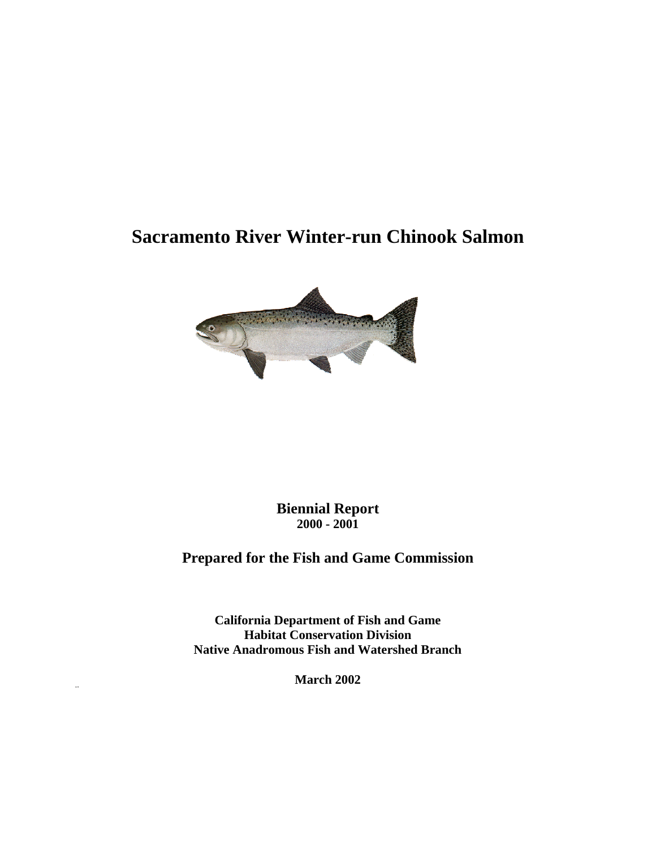# **Sacramento River Winter-run Chinook Salmon**



**Biennial Report 2000 - 2001**

# **Prepared for the Fish and Game Commission**

**California Department of Fish and Game Habitat Conservation Division Native Anadromous Fish and Watershed Branch**

**March 2002**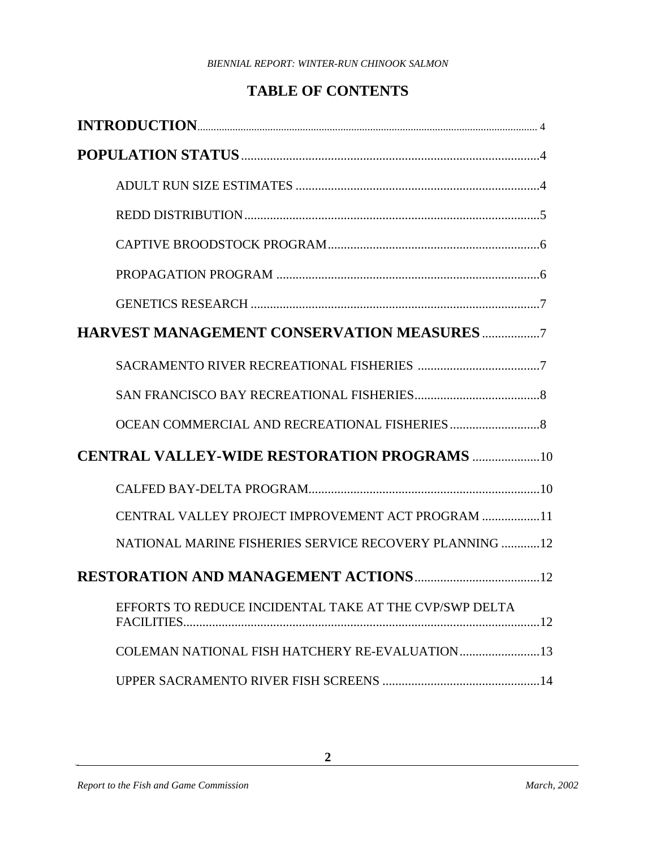# **TABLE OF CONTENTS**

| <b>CENTRAL VALLEY-WIDE RESTORATION PROGRAMS 10</b>     |
|--------------------------------------------------------|
|                                                        |
| CENTRAL VALLEY PROJECT IMPROVEMENT ACT PROGRAM 11      |
| NATIONAL MARINE FISHERIES SERVICE RECOVERY PLANNING 12 |
|                                                        |
| EFFORTS TO REDUCE INCIDENTAL TAKE AT THE CVP/SWP DELTA |
| COLEMAN NATIONAL FISH HATCHERY RE-EVALUATION13         |
|                                                        |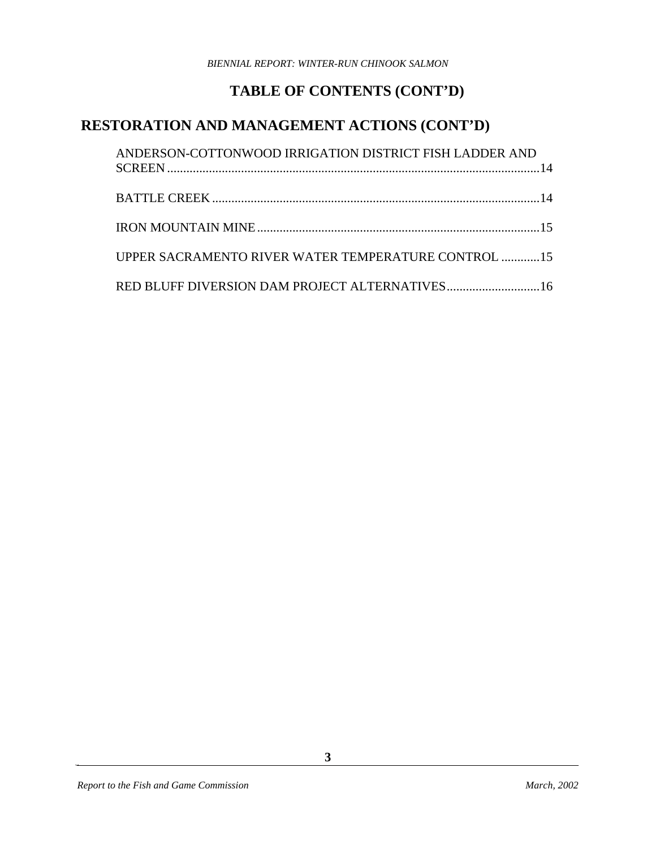# **TABLE OF CONTENTS (CONT'D)**

## **RESTORATION AND MANAGEMENT ACTIONS (CONT'D)**

| ANDERSON-COTTONWOOD IRRIGATION DISTRICT FISH LADDER AND |  |
|---------------------------------------------------------|--|
|                                                         |  |
|                                                         |  |
| UPPER SACRAMENTO RIVER WATER TEMPERATURE CONTROL 15     |  |
| RED BLUFF DIVERSION DAM PROJECT ALTERNATIVES16          |  |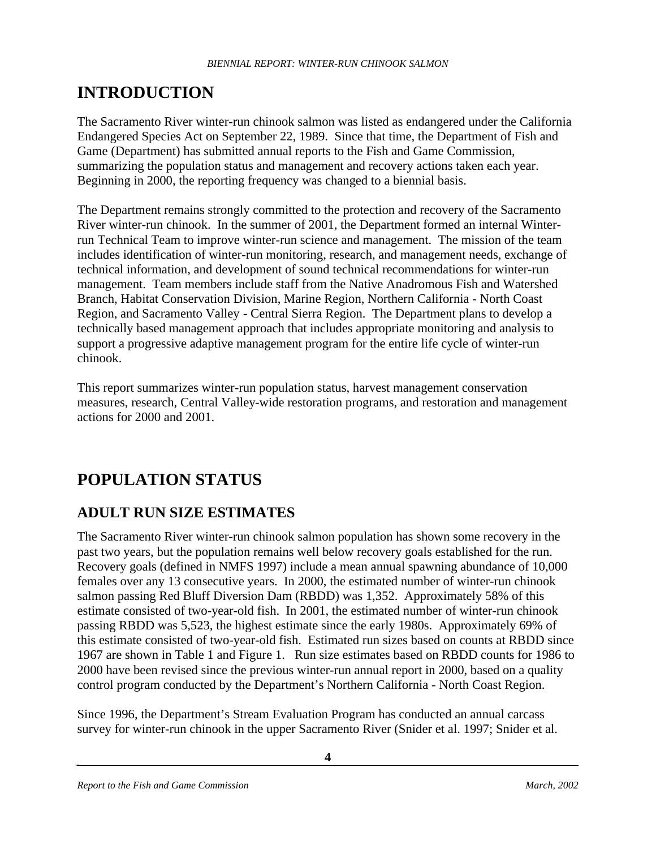# **INTRODUCTION**

The Sacramento River winter-run chinook salmon was listed as endangered under the California Endangered Species Act on September 22, 1989. Since that time, the Department of Fish and Game (Department) has submitted annual reports to the Fish and Game Commission, summarizing the population status and management and recovery actions taken each year. Beginning in 2000, the reporting frequency was changed to a biennial basis.

The Department remains strongly committed to the protection and recovery of the Sacramento River winter-run chinook. In the summer of 2001, the Department formed an internal Winterrun Technical Team to improve winter-run science and management. The mission of the team includes identification of winter-run monitoring, research, and management needs, exchange of technical information, and development of sound technical recommendations for winter-run management. Team members include staff from the Native Anadromous Fish and Watershed Branch, Habitat Conservation Division, Marine Region, Northern California - North Coast Region, and Sacramento Valley - Central Sierra Region. The Department plans to develop a technically based management approach that includes appropriate monitoring and analysis to support a progressive adaptive management program for the entire life cycle of winter-run chinook.

This report summarizes winter-run population status, harvest management conservation measures, research, Central Valley-wide restoration programs, and restoration and management actions for 2000 and 2001.

# **POPULATION STATUS**

## **ADULT RUN SIZE ESTIMATES**

The Sacramento River winter-run chinook salmon population has shown some recovery in the past two years, but the population remains well below recovery goals established for the run. Recovery goals (defined in NMFS 1997) include a mean annual spawning abundance of 10,000 females over any 13 consecutive years. In 2000, the estimated number of winter-run chinook salmon passing Red Bluff Diversion Dam (RBDD) was 1,352. Approximately 58% of this estimate consisted of two-year-old fish. In 2001, the estimated number of winter-run chinook passing RBDD was 5,523, the highest estimate since the early 1980s. Approximately 69% of this estimate consisted of two-year-old fish. Estimated run sizes based on counts at RBDD since 1967 are shown in Table 1 and Figure 1. Run size estimates based on RBDD counts for 1986 to 2000 have been revised since the previous winter-run annual report in 2000, based on a quality control program conducted by the Department's Northern California - North Coast Region.

Since 1996, the Department's Stream Evaluation Program has conducted an annual carcass survey for winter-run chinook in the upper Sacramento River (Snider et al. 1997; Snider et al.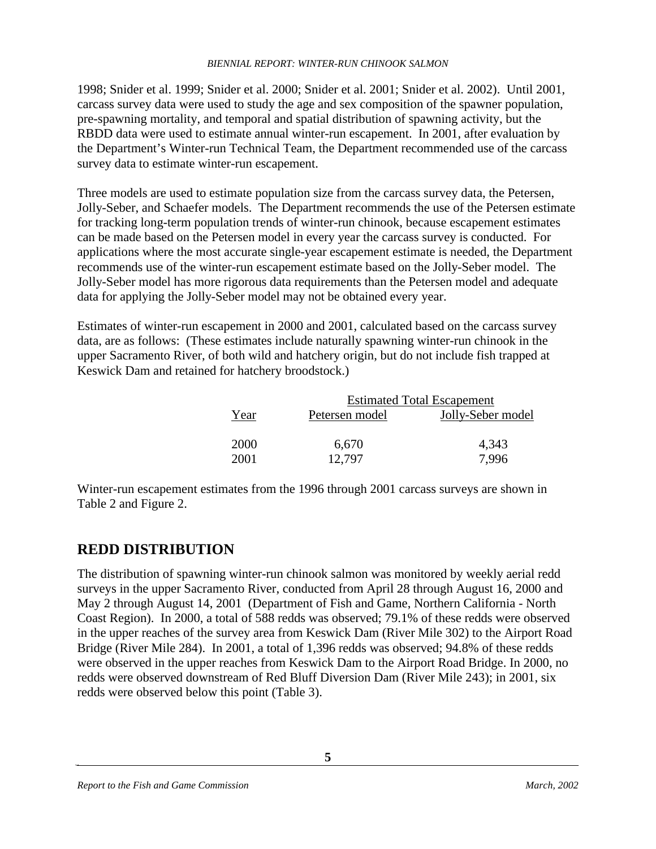1998; Snider et al. 1999; Snider et al. 2000; Snider et al. 2001; Snider et al. 2002). Until 2001, carcass survey data were used to study the age and sex composition of the spawner population, pre-spawning mortality, and temporal and spatial distribution of spawning activity, but the RBDD data were used to estimate annual winter-run escapement. In 2001, after evaluation by the Department's Winter-run Technical Team, the Department recommended use of the carcass survey data to estimate winter-run escapement.

Three models are used to estimate population size from the carcass survey data, the Petersen, Jolly-Seber, and Schaefer models. The Department recommends the use of the Petersen estimate for tracking long-term population trends of winter-run chinook, because escapement estimates can be made based on the Petersen model in every year the carcass survey is conducted. For applications where the most accurate single-year escapement estimate is needed, the Department recommends use of the winter-run escapement estimate based on the Jolly-Seber model. The Jolly-Seber model has more rigorous data requirements than the Petersen model and adequate data for applying the Jolly-Seber model may not be obtained every year.

Estimates of winter-run escapement in 2000 and 2001, calculated based on the carcass survey data, are as follows: (These estimates include naturally spawning winter-run chinook in the upper Sacramento River, of both wild and hatchery origin, but do not include fish trapped at Keswick Dam and retained for hatchery broodstock.)

|      |                | <b>Estimated Total Escapement</b> |
|------|----------------|-----------------------------------|
| Year | Petersen model | Jolly-Seber model                 |
| 2000 | 6,670          | 4,343                             |
| 2001 | 12.797         | 7.996                             |

Winter-run escapement estimates from the 1996 through 2001 carcass surveys are shown in Table 2 and Figure 2.

### **REDD DISTRIBUTION**

The distribution of spawning winter-run chinook salmon was monitored by weekly aerial redd surveys in the upper Sacramento River, conducted from April 28 through August 16, 2000 and May 2 through August 14, 2001 (Department of Fish and Game, Northern California - North Coast Region). In 2000, a total of 588 redds was observed; 79.1% of these redds were observed in the upper reaches of the survey area from Keswick Dam (River Mile 302) to the Airport Road Bridge (River Mile 284). In 2001, a total of 1,396 redds was observed; 94.8% of these redds were observed in the upper reaches from Keswick Dam to the Airport Road Bridge. In 2000, no redds were observed downstream of Red Bluff Diversion Dam (River Mile 243); in 2001, six redds were observed below this point (Table 3).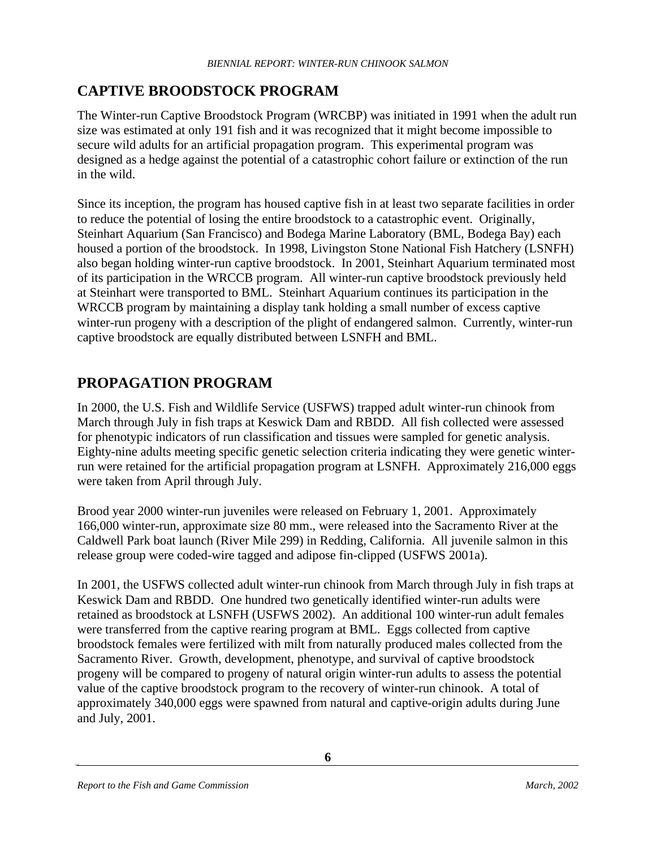## **CAPTIVE BROODSTOCK PROGRAM**

The Winter-run Captive Broodstock Program (WRCBP) was initiated in 1991 when the adult run size was estimated at only 191 fish and it was recognized that it might become impossible to secure wild adults for an artificial propagation program. This experimental program was designed as a hedge against the potential of a catastrophic cohort failure or extinction of the run in the wild.

Since its inception, the program has housed captive fish in at least two separate facilities in order to reduce the potential of losing the entire broodstock to a catastrophic event. Originally, Steinhart Aquarium (San Francisco) and Bodega Marine Laboratory (BML, Bodega Bay) each housed a portion of the broodstock. In 1998, Livingston Stone National Fish Hatchery (LSNFH) also began holding winter-run captive broodstock. In 2001, Steinhart Aquarium terminated most of its participation in the WRCCB program. All winter-run captive broodstock previously held at Steinhart were transported to BML. Steinhart Aquarium continues its participation in the WRCCB program by maintaining a display tank holding a small number of excess captive winter-run progeny with a description of the plight of endangered salmon. Currently, winter-run captive broodstock are equally distributed between LSNFH and BML.

### **PROPAGATION PROGRAM**

In 2000, the U.S. Fish and Wildlife Service (USFWS) trapped adult winter-run chinook from March through July in fish traps at Keswick Dam and RBDD. All fish collected were assessed for phenotypic indicators of run classification and tissues were sampled for genetic analysis. Eighty-nine adults meeting specific genetic selection criteria indicating they were genetic winterrun were retained for the artificial propagation program at LSNFH. Approximately 216,000 eggs were taken from April through July.

Brood year 2000 winter-run juveniles were released on February 1, 2001. Approximately 166,000 winter-run, approximate size 80 mm., were released into the Sacramento River at the Caldwell Park boat launch (River Mile 299) in Redding, California. All juvenile salmon in this release group were coded-wire tagged and adipose fin-clipped (USFWS 2001a).

In 2001, the USFWS collected adult winter-run chinook from March through July in fish traps at Keswick Dam and RBDD. One hundred two genetically identified winter-run adults were retained as broodstock at LSNFH (USFWS 2002). An additional 100 winter-run adult females were transferred from the captive rearing program at BML. Eggs collected from captive broodstock females were fertilized with milt from naturally produced males collected from the Sacramento River. Growth, development, phenotype, and survival of captive broodstock progeny will be compared to progeny of natural origin winter-run adults to assess the potential value of the captive broodstock program to the recovery of winter-run chinook. A total of approximately 340,000 eggs were spawned from natural and captive-origin adults during June and July, 2001.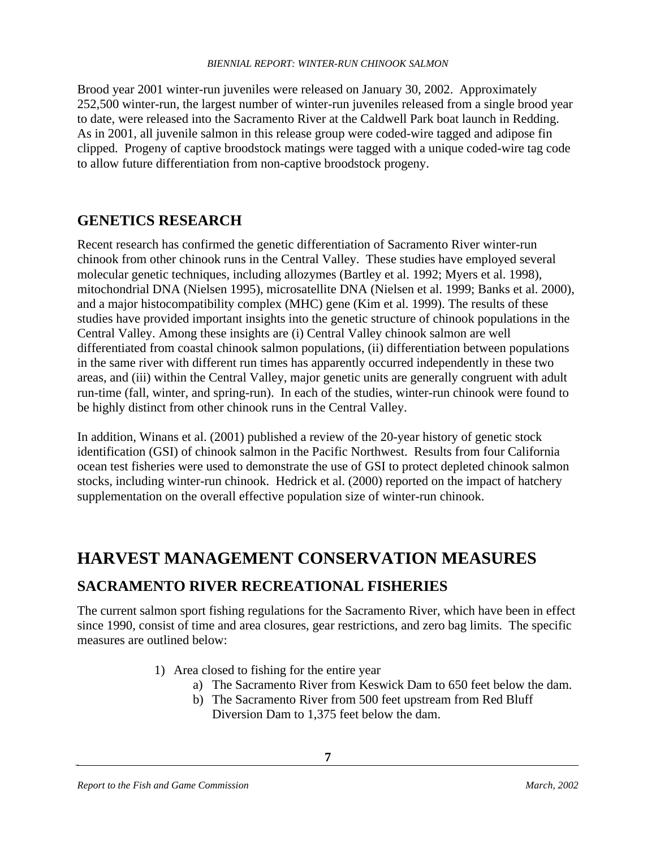Brood year 2001 winter-run juveniles were released on January 30, 2002. Approximately 252,500 winter-run, the largest number of winter-run juveniles released from a single brood year to date, were released into the Sacramento River at the Caldwell Park boat launch in Redding. As in 2001, all juvenile salmon in this release group were coded-wire tagged and adipose fin clipped. Progeny of captive broodstock matings were tagged with a unique coded-wire tag code to allow future differentiation from non-captive broodstock progeny.

#### **GENETICS RESEARCH**

Recent research has confirmed the genetic differentiation of Sacramento River winter-run chinook from other chinook runs in the Central Valley. These studies have employed several molecular genetic techniques, including allozymes (Bartley et al. 1992; Myers et al. 1998), mitochondrial DNA (Nielsen 1995), microsatellite DNA (Nielsen et al. 1999; Banks et al. 2000), and a major histocompatibility complex (MHC) gene (Kim et al. 1999). The results of these studies have provided important insights into the genetic structure of chinook populations in the Central Valley. Among these insights are (i) Central Valley chinook salmon are well differentiated from coastal chinook salmon populations, (ii) differentiation between populations in the same river with different run times has apparently occurred independently in these two areas, and (iii) within the Central Valley, major genetic units are generally congruent with adult run-time (fall, winter, and spring-run). In each of the studies, winter-run chinook were found to be highly distinct from other chinook runs in the Central Valley.

In addition, Winans et al. (2001) published a review of the 20-year history of genetic stock identification (GSI) of chinook salmon in the Pacific Northwest. Results from four California ocean test fisheries were used to demonstrate the use of GSI to protect depleted chinook salmon stocks, including winter-run chinook. Hedrick et al. (2000) reported on the impact of hatchery supplementation on the overall effective population size of winter-run chinook.

## **HARVEST MANAGEMENT CONSERVATION MEASURES**

#### **SACRAMENTO RIVER RECREATIONAL FISHERIES**

The current salmon sport fishing regulations for the Sacramento River, which have been in effect since 1990, consist of time and area closures, gear restrictions, and zero bag limits. The specific measures are outlined below:

- 1) Area closed to fishing for the entire year
	- a) The Sacramento River from Keswick Dam to 650 feet below the dam.
	- b) The Sacramento River from 500 feet upstream from Red Bluff Diversion Dam to 1,375 feet below the dam.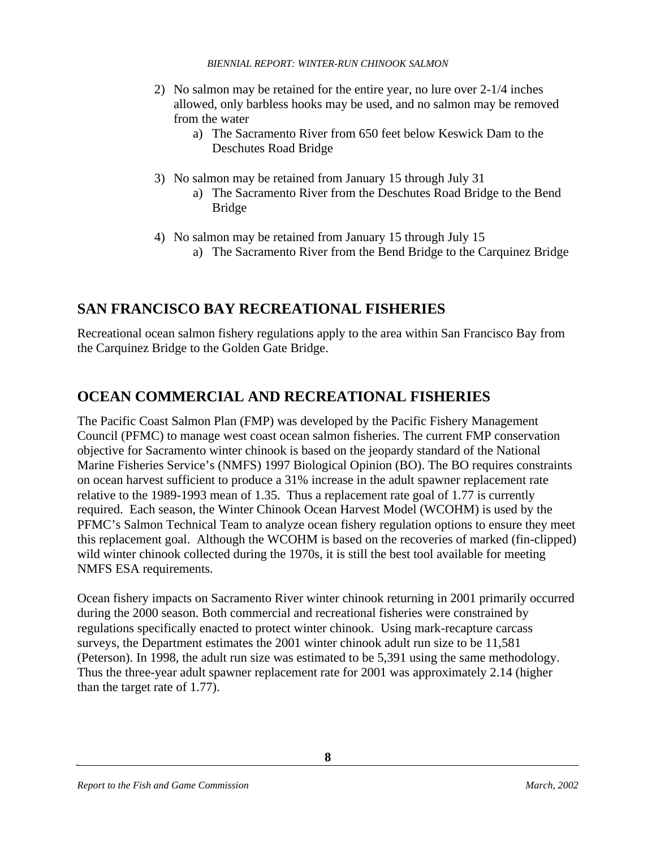- 2) No salmon may be retained for the entire year, no lure over 2-1/4 inches allowed, only barbless hooks may be used, and no salmon may be removed from the water
	- a) The Sacramento River from 650 feet below Keswick Dam to the Deschutes Road Bridge
- 3) No salmon may be retained from January 15 through July 31
	- a) The Sacramento River from the Deschutes Road Bridge to the Bend Bridge
- 4) No salmon may be retained from January 15 through July 15 a) The Sacramento River from the Bend Bridge to the Carquinez Bridge

### **SAN FRANCISCO BAY RECREATIONAL FISHERIES**

Recreational ocean salmon fishery regulations apply to the area within San Francisco Bay from the Carquinez Bridge to the Golden Gate Bridge.

### **OCEAN COMMERCIAL AND RECREATIONAL FISHERIES**

The Pacific Coast Salmon Plan (FMP) was developed by the Pacific Fishery Management Council (PFMC) to manage west coast ocean salmon fisheries. The current FMP conservation objective for Sacramento winter chinook is based on the jeopardy standard of the National Marine Fisheries Service's (NMFS) 1997 Biological Opinion (BO). The BO requires constraints on ocean harvest sufficient to produce a 31% increase in the adult spawner replacement rate relative to the 1989-1993 mean of 1.35. Thus a replacement rate goal of 1.77 is currently required. Each season, the Winter Chinook Ocean Harvest Model (WCOHM) is used by the PFMC's Salmon Technical Team to analyze ocean fishery regulation options to ensure they meet this replacement goal. Although the WCOHM is based on the recoveries of marked (fin-clipped) wild winter chinook collected during the 1970s, it is still the best tool available for meeting NMFS ESA requirements.

Ocean fishery impacts on Sacramento River winter chinook returning in 2001 primarily occurred during the 2000 season. Both commercial and recreational fisheries were constrained by regulations specifically enacted to protect winter chinook. Using mark-recapture carcass surveys, the Department estimates the 2001 winter chinook adult run size to be 11,581 (Peterson). In 1998, the adult run size was estimated to be 5,391 using the same methodology. Thus the three-year adult spawner replacement rate for 2001 was approximately 2.14 (higher than the target rate of 1.77).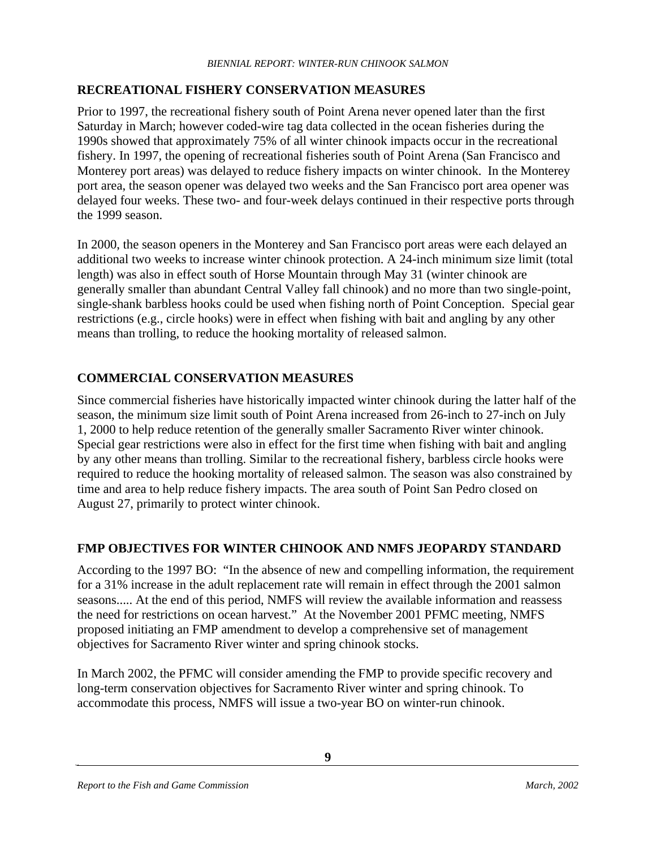#### **RECREATIONAL FISHERY CONSERVATION MEASURES**

Prior to 1997, the recreational fishery south of Point Arena never opened later than the first Saturday in March; however coded-wire tag data collected in the ocean fisheries during the 1990s showed that approximately 75% of all winter chinook impacts occur in the recreational fishery. In 1997, the opening of recreational fisheries south of Point Arena (San Francisco and Monterey port areas) was delayed to reduce fishery impacts on winter chinook. In the Monterey port area, the season opener was delayed two weeks and the San Francisco port area opener was delayed four weeks. These two- and four-week delays continued in their respective ports through the 1999 season.

In 2000, the season openers in the Monterey and San Francisco port areas were each delayed an additional two weeks to increase winter chinook protection. A 24-inch minimum size limit (total length) was also in effect south of Horse Mountain through May 31 (winter chinook are generally smaller than abundant Central Valley fall chinook) and no more than two single-point, single-shank barbless hooks could be used when fishing north of Point Conception. Special gear restrictions (e.g., circle hooks) were in effect when fishing with bait and angling by any other means than trolling, to reduce the hooking mortality of released salmon.

#### **COMMERCIAL CONSERVATION MEASURES**

Since commercial fisheries have historically impacted winter chinook during the latter half of the season, the minimum size limit south of Point Arena increased from 26-inch to 27-inch on July 1, 2000 to help reduce retention of the generally smaller Sacramento River winter chinook. Special gear restrictions were also in effect for the first time when fishing with bait and angling by any other means than trolling. Similar to the recreational fishery, barbless circle hooks were required to reduce the hooking mortality of released salmon. The season was also constrained by time and area to help reduce fishery impacts. The area south of Point San Pedro closed on August 27, primarily to protect winter chinook.

#### **FMP OBJECTIVES FOR WINTER CHINOOK AND NMFS JEOPARDY STANDARD**

According to the 1997 BO: "In the absence of new and compelling information, the requirement for a 31% increase in the adult replacement rate will remain in effect through the 2001 salmon seasons..... At the end of this period, NMFS will review the available information and reassess the need for restrictions on ocean harvest." At the November 2001 PFMC meeting, NMFS proposed initiating an FMP amendment to develop a comprehensive set of management objectives for Sacramento River winter and spring chinook stocks.

In March 2002, the PFMC will consider amending the FMP to provide specific recovery and long-term conservation objectives for Sacramento River winter and spring chinook. To accommodate this process, NMFS will issue a two-year BO on winter-run chinook.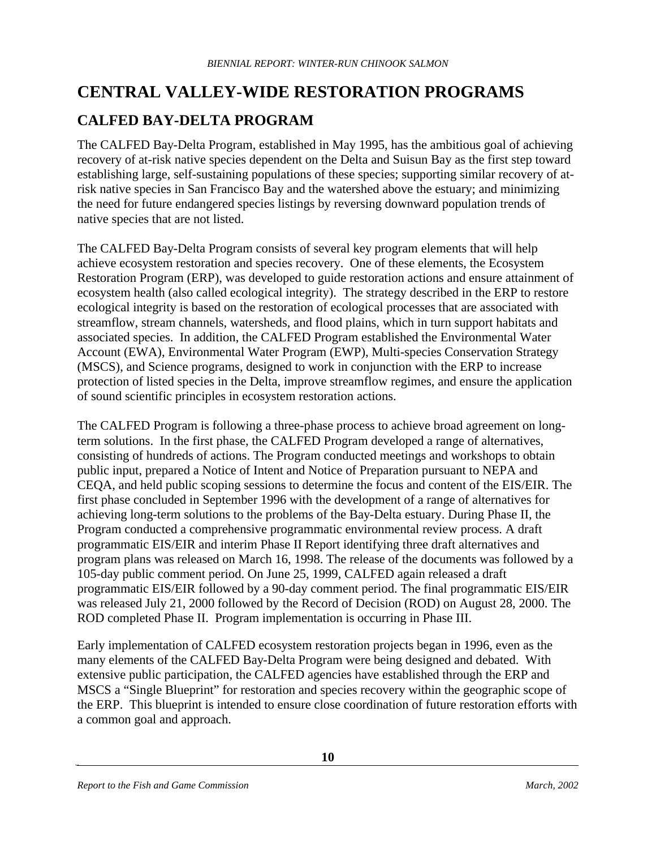# **CENTRAL VALLEY-WIDE RESTORATION PROGRAMS**

## **CALFED BAY-DELTA PROGRAM**

The CALFED Bay-Delta Program, established in May 1995, has the ambitious goal of achieving recovery of at-risk native species dependent on the Delta and Suisun Bay as the first step toward establishing large, self-sustaining populations of these species; supporting similar recovery of atrisk native species in San Francisco Bay and the watershed above the estuary; and minimizing the need for future endangered species listings by reversing downward population trends of native species that are not listed.

The CALFED Bay-Delta Program consists of several key program elements that will help achieve ecosystem restoration and species recovery. One of these elements, the Ecosystem Restoration Program (ERP), was developed to guide restoration actions and ensure attainment of ecosystem health (also called ecological integrity). The strategy described in the ERP to restore ecological integrity is based on the restoration of ecological processes that are associated with streamflow, stream channels, watersheds, and flood plains, which in turn support habitats and associated species. In addition, the CALFED Program established the Environmental Water Account (EWA), Environmental Water Program (EWP), Multi-species Conservation Strategy (MSCS), and Science programs, designed to work in conjunction with the ERP to increase protection of listed species in the Delta, improve streamflow regimes, and ensure the application of sound scientific principles in ecosystem restoration actions.

The CALFED Program is following a three-phase process to achieve broad agreement on longterm solutions. In the first phase, the CALFED Program developed a range of alternatives, consisting of hundreds of actions. The Program conducted meetings and workshops to obtain public input, prepared a Notice of Intent and Notice of Preparation pursuant to NEPA and CEQA, and held public scoping sessions to determine the focus and content of the EIS/EIR. The first phase concluded in September 1996 with the development of a range of alternatives for achieving long-term solutions to the problems of the Bay-Delta estuary. During Phase II, the Program conducted a comprehensive programmatic environmental review process. A draft programmatic EIS/EIR and interim Phase II Report identifying three draft alternatives and program plans was released on March 16, 1998. The release of the documents was followed by a 105-day public comment period. On June 25, 1999, CALFED again released a draft programmatic EIS/EIR followed by a 90-day comment period. The final programmatic EIS/EIR was released July 21, 2000 followed by the Record of Decision (ROD) on August 28, 2000. The ROD completed Phase II. Program implementation is occurring in Phase III.

Early implementation of CALFED ecosystem restoration projects began in 1996, even as the many elements of the CALFED Bay-Delta Program were being designed and debated. With extensive public participation, the CALFED agencies have established through the ERP and MSCS a "Single Blueprint" for restoration and species recovery within the geographic scope of the ERP. This blueprint is intended to ensure close coordination of future restoration efforts with a common goal and approach.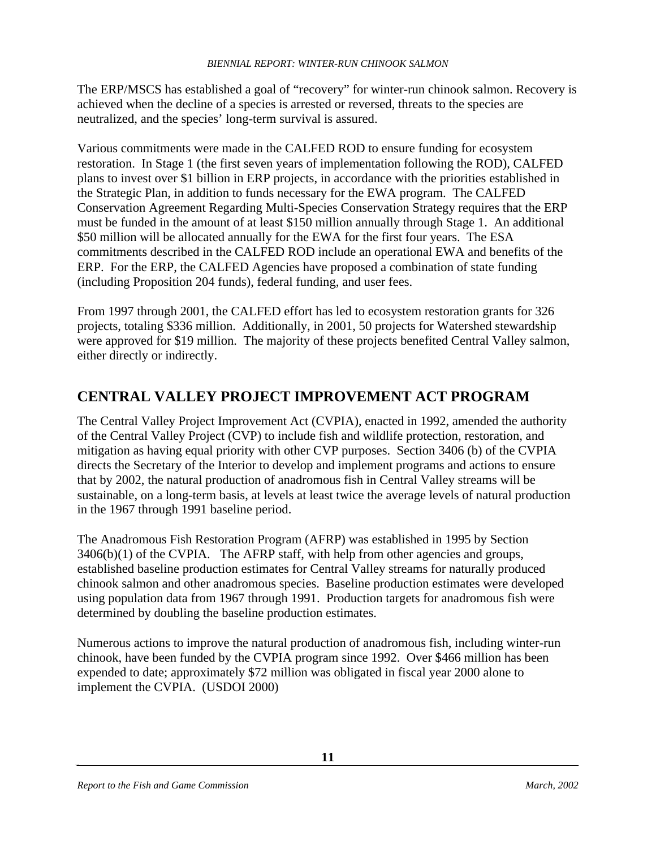The ERP/MSCS has established a goal of "recovery" for winter-run chinook salmon. Recovery is achieved when the decline of a species is arrested or reversed, threats to the species are neutralized, and the species' long-term survival is assured.

Various commitments were made in the CALFED ROD to ensure funding for ecosystem restoration. In Stage 1 (the first seven years of implementation following the ROD), CALFED plans to invest over \$1 billion in ERP projects, in accordance with the priorities established in the Strategic Plan, in addition to funds necessary for the EWA program. The CALFED Conservation Agreement Regarding Multi-Species Conservation Strategy requires that the ERP must be funded in the amount of at least \$150 million annually through Stage 1. An additional \$50 million will be allocated annually for the EWA for the first four years. The ESA commitments described in the CALFED ROD include an operational EWA and benefits of the ERP. For the ERP, the CALFED Agencies have proposed a combination of state funding (including Proposition 204 funds), federal funding, and user fees.

From 1997 through 2001, the CALFED effort has led to ecosystem restoration grants for 326 projects, totaling \$336 million. Additionally, in 2001, 50 projects for Watershed stewardship were approved for \$19 million. The majority of these projects benefited Central Valley salmon, either directly or indirectly.

### **CENTRAL VALLEY PROJECT IMPROVEMENT ACT PROGRAM**

The Central Valley Project Improvement Act (CVPIA), enacted in 1992, amended the authority of the Central Valley Project (CVP) to include fish and wildlife protection, restoration, and mitigation as having equal priority with other CVP purposes. Section 3406 (b) of the CVPIA directs the Secretary of the Interior to develop and implement programs and actions to ensure that by 2002, the natural production of anadromous fish in Central Valley streams will be sustainable, on a long-term basis, at levels at least twice the average levels of natural production in the 1967 through 1991 baseline period.

The Anadromous Fish Restoration Program (AFRP) was established in 1995 by Section  $3406(b)(1)$  of the CVPIA. The AFRP staff, with help from other agencies and groups, established baseline production estimates for Central Valley streams for naturally produced chinook salmon and other anadromous species. Baseline production estimates were developed using population data from 1967 through 1991. Production targets for anadromous fish were determined by doubling the baseline production estimates.

Numerous actions to improve the natural production of anadromous fish, including winter-run chinook, have been funded by the CVPIA program since 1992. Over \$466 million has been expended to date; approximately \$72 million was obligated in fiscal year 2000 alone to implement the CVPIA. (USDOI 2000)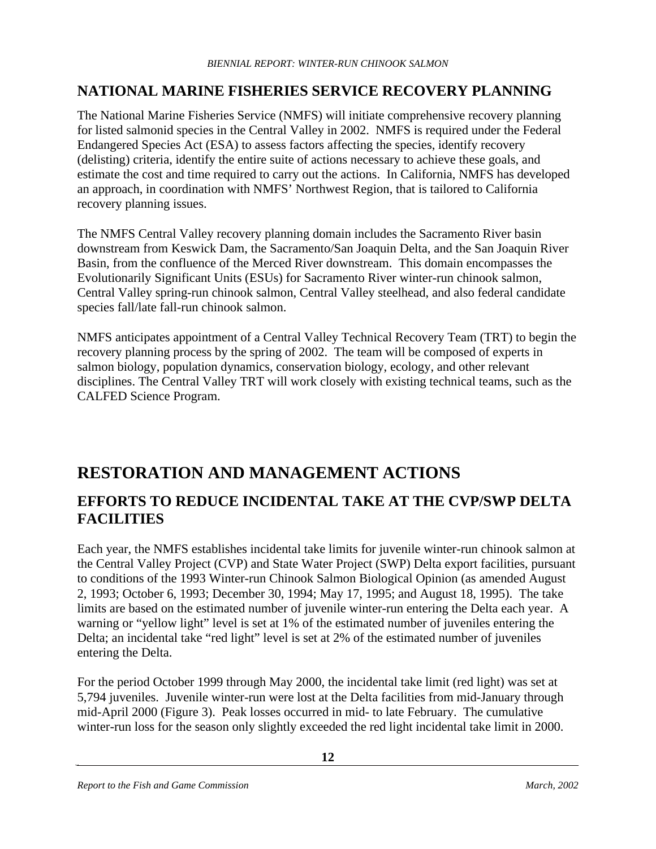#### **NATIONAL MARINE FISHERIES SERVICE RECOVERY PLANNING**

The National Marine Fisheries Service (NMFS) will initiate comprehensive recovery planning for listed salmonid species in the Central Valley in 2002. NMFS is required under the Federal Endangered Species Act (ESA) to assess factors affecting the species, identify recovery (delisting) criteria, identify the entire suite of actions necessary to achieve these goals, and estimate the cost and time required to carry out the actions. In California, NMFS has developed an approach, in coordination with NMFS' Northwest Region, that is tailored to California recovery planning issues.

The NMFS Central Valley recovery planning domain includes the Sacramento River basin downstream from Keswick Dam, the Sacramento/San Joaquin Delta, and the San Joaquin River Basin, from the confluence of the Merced River downstream. This domain encompasses the Evolutionarily Significant Units (ESUs) for Sacramento River winter-run chinook salmon, Central Valley spring-run chinook salmon, Central Valley steelhead, and also federal candidate species fall/late fall-run chinook salmon.

NMFS anticipates appointment of a Central Valley Technical Recovery Team (TRT) to begin the recovery planning process by the spring of 2002. The team will be composed of experts in salmon biology, population dynamics, conservation biology, ecology, and other relevant disciplines. The Central Valley TRT will work closely with existing technical teams, such as the CALFED Science Program.

# **RESTORATION AND MANAGEMENT ACTIONS**

### **EFFORTS TO REDUCE INCIDENTAL TAKE AT THE CVP/SWP DELTA FACILITIES**

Each year, the NMFS establishes incidental take limits for juvenile winter-run chinook salmon at the Central Valley Project (CVP) and State Water Project (SWP) Delta export facilities, pursuant to conditions of the 1993 Winter-run Chinook Salmon Biological Opinion (as amended August 2, 1993; October 6, 1993; December 30, 1994; May 17, 1995; and August 18, 1995). The take limits are based on the estimated number of juvenile winter-run entering the Delta each year. A warning or "yellow light" level is set at 1% of the estimated number of juveniles entering the Delta; an incidental take "red light" level is set at 2% of the estimated number of juveniles entering the Delta.

For the period October 1999 through May 2000, the incidental take limit (red light) was set at 5,794 juveniles. Juvenile winter-run were lost at the Delta facilities from mid-January through mid-April 2000 (Figure 3). Peak losses occurred in mid- to late February. The cumulative winter-run loss for the season only slightly exceeded the red light incidental take limit in 2000.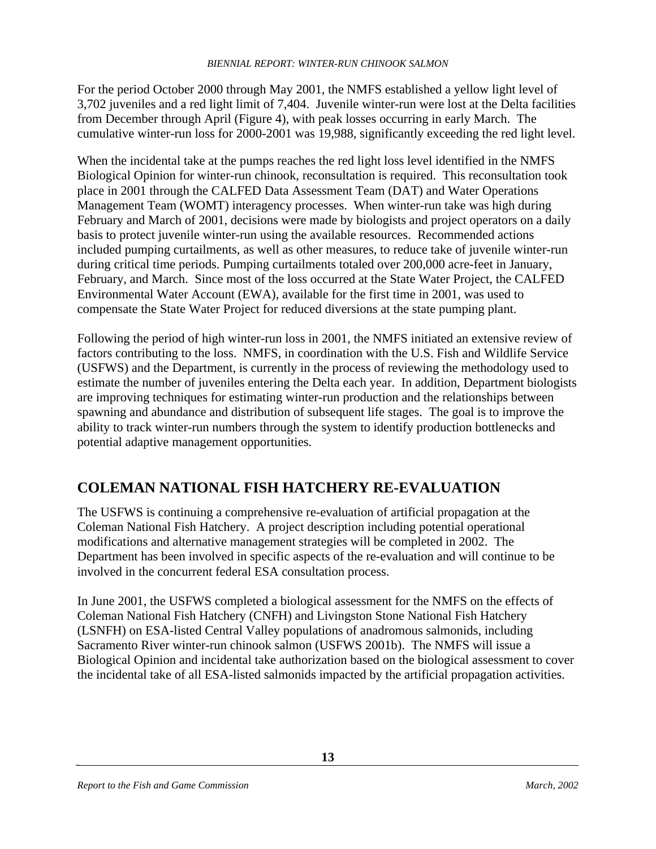For the period October 2000 through May 2001, the NMFS established a yellow light level of 3,702 juveniles and a red light limit of 7,404. Juvenile winter-run were lost at the Delta facilities from December through April (Figure 4), with peak losses occurring in early March. The cumulative winter-run loss for 2000-2001 was 19,988, significantly exceeding the red light level.

When the incidental take at the pumps reaches the red light loss level identified in the NMFS Biological Opinion for winter-run chinook, reconsultation is required. This reconsultation took place in 2001 through the CALFED Data Assessment Team (DAT) and Water Operations Management Team (WOMT) interagency processes. When winter-run take was high during February and March of 2001, decisions were made by biologists and project operators on a daily basis to protect juvenile winter-run using the available resources. Recommended actions included pumping curtailments, as well as other measures, to reduce take of juvenile winter-run during critical time periods. Pumping curtailments totaled over 200,000 acre-feet in January, February, and March. Since most of the loss occurred at the State Water Project, the CALFED Environmental Water Account (EWA), available for the first time in 2001, was used to compensate the State Water Project for reduced diversions at the state pumping plant.

Following the period of high winter-run loss in 2001, the NMFS initiated an extensive review of factors contributing to the loss. NMFS, in coordination with the U.S. Fish and Wildlife Service (USFWS) and the Department, is currently in the process of reviewing the methodology used to estimate the number of juveniles entering the Delta each year. In addition, Department biologists are improving techniques for estimating winter-run production and the relationships between spawning and abundance and distribution of subsequent life stages. The goal is to improve the ability to track winter-run numbers through the system to identify production bottlenecks and potential adaptive management opportunities.

## **COLEMAN NATIONAL FISH HATCHERY RE-EVALUATION**

The USFWS is continuing a comprehensive re-evaluation of artificial propagation at the Coleman National Fish Hatchery. A project description including potential operational modifications and alternative management strategies will be completed in 2002. The Department has been involved in specific aspects of the re-evaluation and will continue to be involved in the concurrent federal ESA consultation process.

In June 2001, the USFWS completed a biological assessment for the NMFS on the effects of Coleman National Fish Hatchery (CNFH) and Livingston Stone National Fish Hatchery (LSNFH) on ESA-listed Central Valley populations of anadromous salmonids, including Sacramento River winter-run chinook salmon (USFWS 2001b). The NMFS will issue a Biological Opinion and incidental take authorization based on the biological assessment to cover the incidental take of all ESA-listed salmonids impacted by the artificial propagation activities.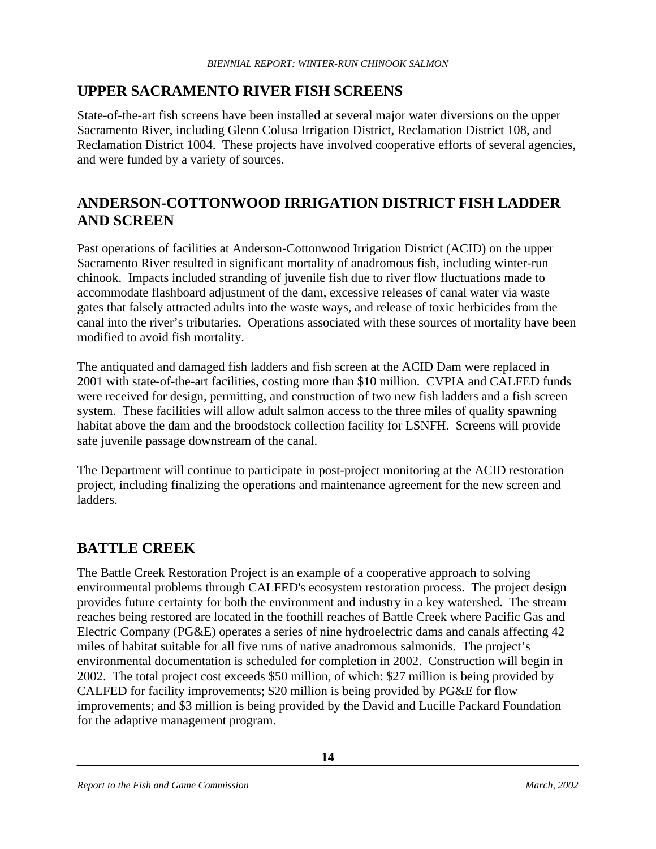### **UPPER SACRAMENTO RIVER FISH SCREENS**

State-of-the-art fish screens have been installed at several major water diversions on the upper Sacramento River, including Glenn Colusa Irrigation District, Reclamation District 108, and Reclamation District 1004. These projects have involved cooperative efforts of several agencies, and were funded by a variety of sources.

#### **ANDERSON-COTTONWOOD IRRIGATION DISTRICT FISH LADDER AND SCREEN**

Past operations of facilities at Anderson-Cottonwood Irrigation District (ACID) on the upper Sacramento River resulted in significant mortality of anadromous fish, including winter-run chinook. Impacts included stranding of juvenile fish due to river flow fluctuations made to accommodate flashboard adjustment of the dam, excessive releases of canal water via waste gates that falsely attracted adults into the waste ways, and release of toxic herbicides from the canal into the river's tributaries. Operations associated with these sources of mortality have been modified to avoid fish mortality.

The antiquated and damaged fish ladders and fish screen at the ACID Dam were replaced in 2001 with state-of-the-art facilities, costing more than \$10 million. CVPIA and CALFED funds were received for design, permitting, and construction of two new fish ladders and a fish screen system. These facilities will allow adult salmon access to the three miles of quality spawning habitat above the dam and the broodstock collection facility for LSNFH. Screens will provide safe juvenile passage downstream of the canal.

The Department will continue to participate in post-project monitoring at the ACID restoration project, including finalizing the operations and maintenance agreement for the new screen and ladders.

### **BATTLE CREEK**

The Battle Creek Restoration Project is an example of a cooperative approach to solving environmental problems through CALFED's ecosystem restoration process. The project design provides future certainty for both the environment and industry in a key watershed. The stream reaches being restored are located in the foothill reaches of Battle Creek where Pacific Gas and Electric Company (PG&E) operates a series of nine hydroelectric dams and canals affecting 42 miles of habitat suitable for all five runs of native anadromous salmonids. The project's environmental documentation is scheduled for completion in 2002. Construction will begin in 2002. The total project cost exceeds \$50 million, of which: \$27 million is being provided by CALFED for facility improvements; \$20 million is being provided by PG&E for flow improvements; and \$3 million is being provided by the David and Lucille Packard Foundation for the adaptive management program.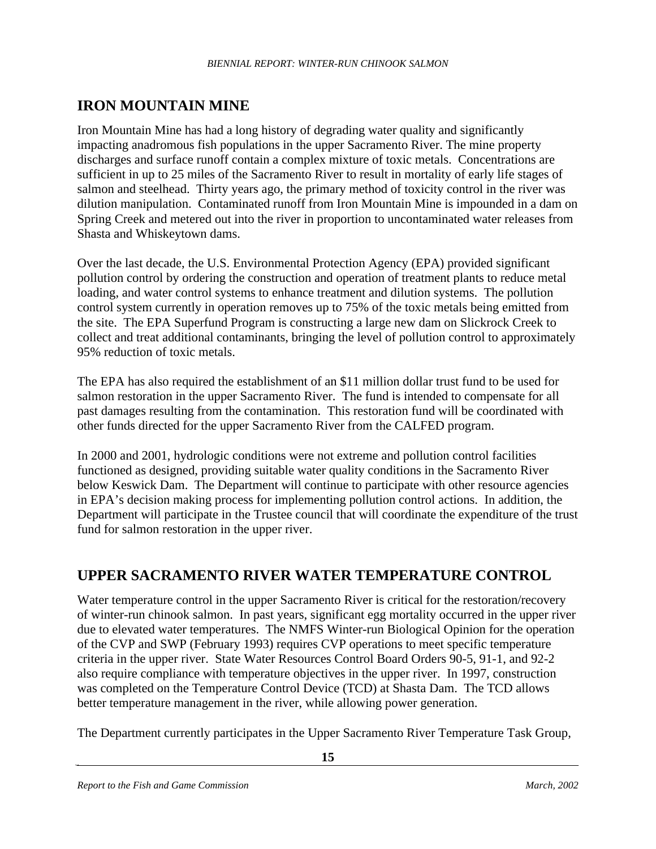## **IRON MOUNTAIN MINE**

Iron Mountain Mine has had a long history of degrading water quality and significantly impacting anadromous fish populations in the upper Sacramento River. The mine property discharges and surface runoff contain a complex mixture of toxic metals. Concentrations are sufficient in up to 25 miles of the Sacramento River to result in mortality of early life stages of salmon and steelhead. Thirty years ago, the primary method of toxicity control in the river was dilution manipulation. Contaminated runoff from Iron Mountain Mine is impounded in a dam on Spring Creek and metered out into the river in proportion to uncontaminated water releases from Shasta and Whiskeytown dams.

Over the last decade, the U.S. Environmental Protection Agency (EPA) provided significant pollution control by ordering the construction and operation of treatment plants to reduce metal loading, and water control systems to enhance treatment and dilution systems. The pollution control system currently in operation removes up to 75% of the toxic metals being emitted from the site. The EPA Superfund Program is constructing a large new dam on Slickrock Creek to collect and treat additional contaminants, bringing the level of pollution control to approximately 95% reduction of toxic metals.

The EPA has also required the establishment of an \$11 million dollar trust fund to be used for salmon restoration in the upper Sacramento River. The fund is intended to compensate for all past damages resulting from the contamination. This restoration fund will be coordinated with other funds directed for the upper Sacramento River from the CALFED program.

In 2000 and 2001, hydrologic conditions were not extreme and pollution control facilities functioned as designed, providing suitable water quality conditions in the Sacramento River below Keswick Dam. The Department will continue to participate with other resource agencies in EPA's decision making process for implementing pollution control actions. In addition, the Department will participate in the Trustee council that will coordinate the expenditure of the trust fund for salmon restoration in the upper river.

### **UPPER SACRAMENTO RIVER WATER TEMPERATURE CONTROL**

Water temperature control in the upper Sacramento River is critical for the restoration/recovery of winter-run chinook salmon. In past years, significant egg mortality occurred in the upper river due to elevated water temperatures. The NMFS Winter-run Biological Opinion for the operation of the CVP and SWP (February 1993) requires CVP operations to meet specific temperature criteria in the upper river. State Water Resources Control Board Orders 90-5, 91-1, and 92-2 also require compliance with temperature objectives in the upper river. In 1997, construction was completed on the Temperature Control Device (TCD) at Shasta Dam. The TCD allows better temperature management in the river, while allowing power generation.

The Department currently participates in the Upper Sacramento River Temperature Task Group,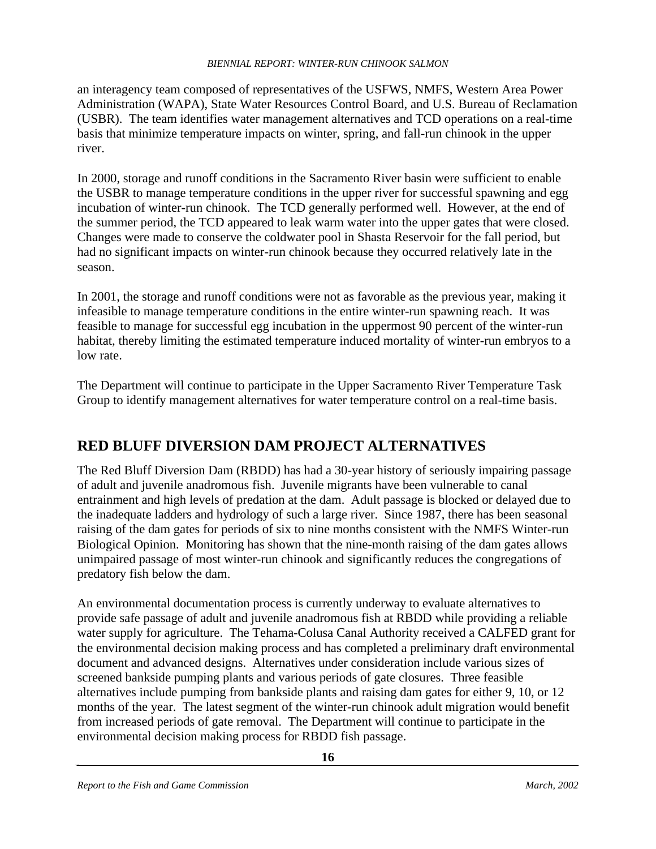an interagency team composed of representatives of the USFWS, NMFS, Western Area Power Administration (WAPA), State Water Resources Control Board, and U.S. Bureau of Reclamation (USBR). The team identifies water management alternatives and TCD operations on a real-time basis that minimize temperature impacts on winter, spring, and fall-run chinook in the upper river.

In 2000, storage and runoff conditions in the Sacramento River basin were sufficient to enable the USBR to manage temperature conditions in the upper river for successful spawning and egg incubation of winter-run chinook. The TCD generally performed well. However, at the end of the summer period, the TCD appeared to leak warm water into the upper gates that were closed. Changes were made to conserve the coldwater pool in Shasta Reservoir for the fall period, but had no significant impacts on winter-run chinook because they occurred relatively late in the season.

In 2001, the storage and runoff conditions were not as favorable as the previous year, making it infeasible to manage temperature conditions in the entire winter-run spawning reach. It was feasible to manage for successful egg incubation in the uppermost 90 percent of the winter-run habitat, thereby limiting the estimated temperature induced mortality of winter-run embryos to a low rate.

The Department will continue to participate in the Upper Sacramento River Temperature Task Group to identify management alternatives for water temperature control on a real-time basis.

## **RED BLUFF DIVERSION DAM PROJECT ALTERNATIVES**

The Red Bluff Diversion Dam (RBDD) has had a 30-year history of seriously impairing passage of adult and juvenile anadromous fish. Juvenile migrants have been vulnerable to canal entrainment and high levels of predation at the dam. Adult passage is blocked or delayed due to the inadequate ladders and hydrology of such a large river. Since 1987, there has been seasonal raising of the dam gates for periods of six to nine months consistent with the NMFS Winter-run Biological Opinion. Monitoring has shown that the nine-month raising of the dam gates allows unimpaired passage of most winter-run chinook and significantly reduces the congregations of predatory fish below the dam.

An environmental documentation process is currently underway to evaluate alternatives to provide safe passage of adult and juvenile anadromous fish at RBDD while providing a reliable water supply for agriculture. The Tehama-Colusa Canal Authority received a CALFED grant for the environmental decision making process and has completed a preliminary draft environmental document and advanced designs. Alternatives under consideration include various sizes of screened bankside pumping plants and various periods of gate closures. Three feasible alternatives include pumping from bankside plants and raising dam gates for either 9, 10, or 12 months of the year. The latest segment of the winter-run chinook adult migration would benefit from increased periods of gate removal. The Department will continue to participate in the environmental decision making process for RBDD fish passage.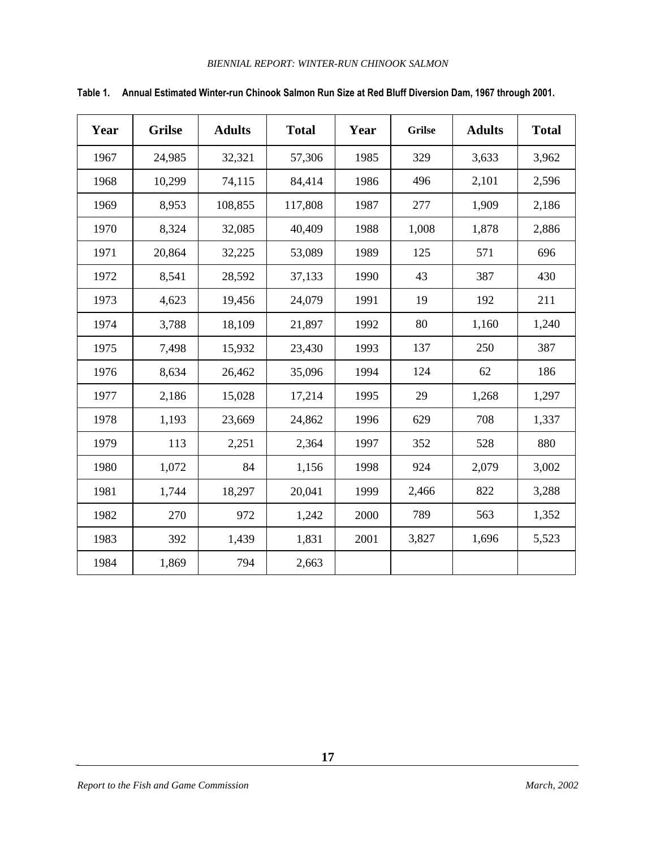| Year | <b>Grilse</b> | <b>Adults</b> | <b>Total</b> | Year | <b>Grilse</b> | <b>Adults</b> | <b>Total</b> |
|------|---------------|---------------|--------------|------|---------------|---------------|--------------|
| 1967 | 24,985        | 32,321        | 57,306       | 1985 | 329           | 3,633         | 3,962        |
| 1968 | 10,299        | 74,115        | 84,414       | 1986 | 496           | 2,101         | 2,596        |
| 1969 | 8,953         | 108,855       | 117,808      | 1987 | 277           | 1,909         | 2,186        |
| 1970 | 8,324         | 32,085        | 40,409       | 1988 | 1,008         | 1,878         | 2,886        |
| 1971 | 20,864        | 32,225        | 53,089       | 1989 | 125           | 571           | 696          |
| 1972 | 8,541         | 28,592        | 37,133       | 1990 | 43            | 387           | 430          |
| 1973 | 4,623         | 19,456        | 24,079       | 1991 | 19            | 192           | 211          |
| 1974 | 3,788         | 18,109        | 21,897       | 1992 | 80            | 1,160         | 1,240        |
| 1975 | 7,498         | 15,932        | 23,430       | 1993 | 137           | 250           | 387          |
| 1976 | 8,634         | 26,462        | 35,096       | 1994 | 124           | 62            | 186          |
| 1977 | 2,186         | 15,028        | 17,214       | 1995 | 29            | 1,268         | 1,297        |
| 1978 | 1,193         | 23,669        | 24,862       | 1996 | 629           | 708           | 1,337        |
| 1979 | 113           | 2,251         | 2,364        | 1997 | 352           | 528           | 880          |
| 1980 | 1,072         | 84            | 1,156        | 1998 | 924           | 2,079         | 3,002        |
| 1981 | 1,744         | 18,297        | 20,041       | 1999 | 2,466         | 822           | 3,288        |
| 1982 | 270           | 972           | 1,242        | 2000 | 789           | 563           | 1,352        |
| 1983 | 392           | 1,439         | 1,831        | 2001 | 3,827         | 1,696         | 5,523        |
| 1984 | 1,869         | 794           | 2,663        |      |               |               |              |

#### **Table 1. Annual Estimated Winter-run Chinook Salmon Run Size at Red Bluff Diversion Dam, 1967 through 2001.**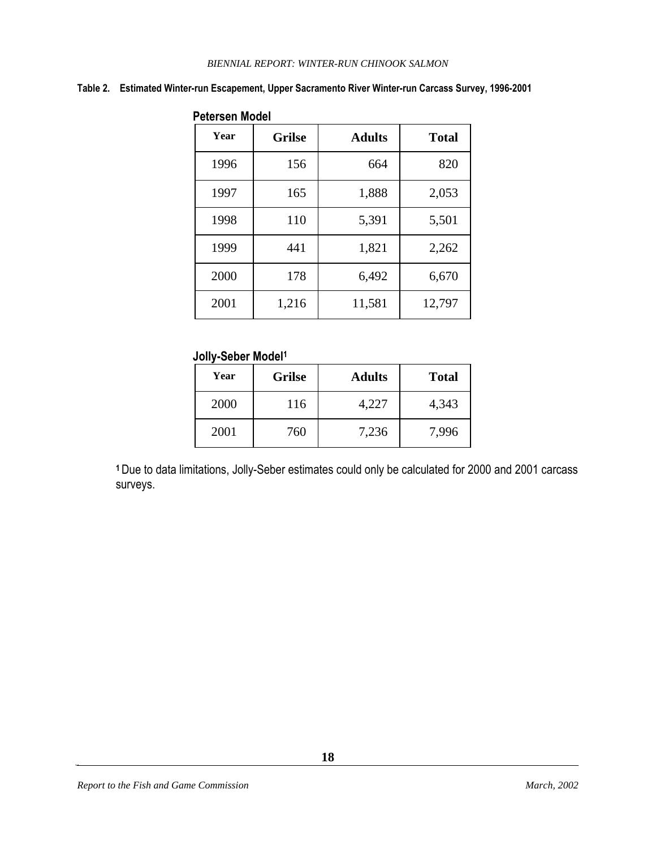#### **Table 2. Estimated Winter-run Escapement, Upper Sacramento River Winter-run Carcass Survey, 1996-2001**

|      | <b>PROPORT IN PROP</b> |               |              |  |  |
|------|------------------------|---------------|--------------|--|--|
| Year | <b>Grilse</b>          | <b>Adults</b> | <b>Total</b> |  |  |
| 1996 | 156                    | 664           | 820          |  |  |
| 1997 | 165                    | 1,888         | 2,053        |  |  |
| 1998 | 110                    | 5,391         | 5,501        |  |  |
| 1999 | 441                    | 1,821         | 2,262        |  |  |
| 2000 | 178                    | 6,492         | 6,670        |  |  |
| 2001 | 1,216                  | 11,581        | 12,797       |  |  |

#### **Petersen Model**

#### **Jolly-Seber Model<sup>1</sup>**

| Year | <b>Grilse</b> | <b>Adults</b> | <b>Total</b> |
|------|---------------|---------------|--------------|
| 2000 | 116           | 4,227         | 4,343        |
| 2001 | 760           | 7,236         | 7,996        |

**<sup>1</sup>**Due to data limitations, Jolly-Seber estimates could only be calculated for 2000 and 2001 carcass surveys.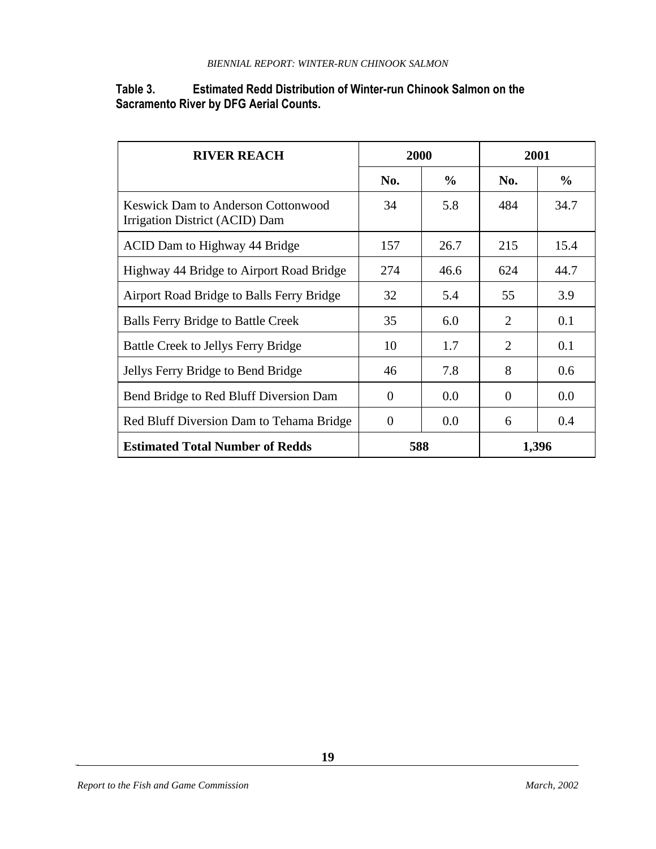#### **Table 3. Estimated Redd Distribution of Winter-run Chinook Salmon on the Sacramento River by DFG Aerial Counts.**

| <b>RIVER REACH</b>                                                          | 2000           |               | 2001                        |               |
|-----------------------------------------------------------------------------|----------------|---------------|-----------------------------|---------------|
|                                                                             | No.            | $\frac{6}{9}$ | No.                         | $\frac{6}{9}$ |
| <b>Keswick Dam to Anderson Cottonwood</b><br>Irrigation District (ACID) Dam | 34             | 5.8           | 484                         | 34.7          |
| ACID Dam to Highway 44 Bridge                                               | 157            | 26.7          | 215                         | 15.4          |
| Highway 44 Bridge to Airport Road Bridge                                    | 274            | 46.6          | 624                         | 44.7          |
| Airport Road Bridge to Balls Ferry Bridge                                   | 32             | 5.4           | 55                          | 3.9           |
| <b>Balls Ferry Bridge to Battle Creek</b>                                   | 35             | 6.0           | $\mathcal{D}_{\mathcal{L}}$ | 0.1           |
| <b>Battle Creek to Jellys Ferry Bridge</b>                                  | 10             | 1.7           | 2                           | 0.1           |
| Jellys Ferry Bridge to Bend Bridge                                          | 46             | 7.8           | 8                           | 0.6           |
| Bend Bridge to Red Bluff Diversion Dam                                      | $\theta$       | 0.0           | $\Omega$                    | 0.0           |
| Red Bluff Diversion Dam to Tehama Bridge                                    | $\overline{0}$ | 0.0           | 6                           | 0.4           |
| <b>Estimated Total Number of Redds</b>                                      | 588            |               | 1,396                       |               |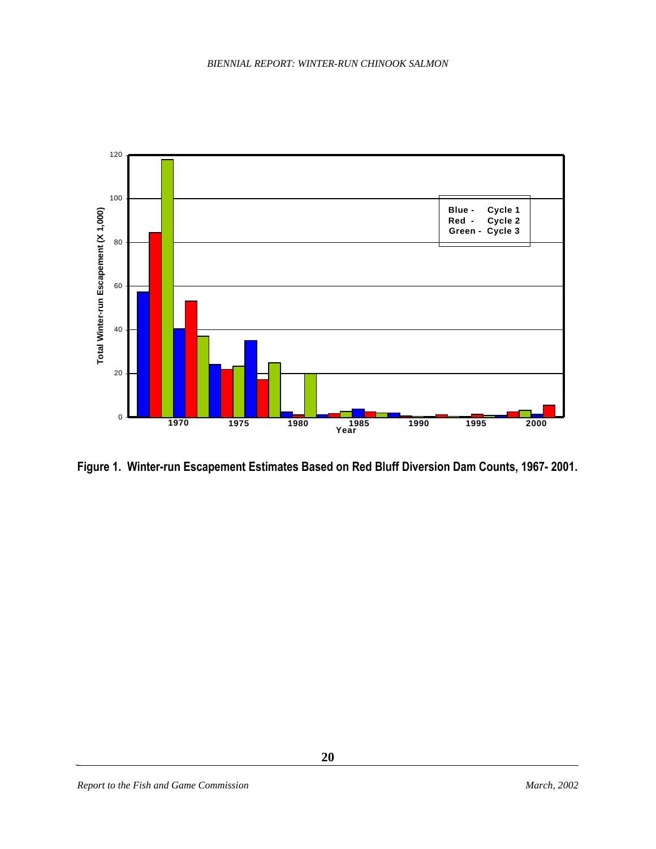

**Figure 1. Winter-run Escapement Estimates Based on Red Bluff Diversion Dam Counts, 1967- 2001.**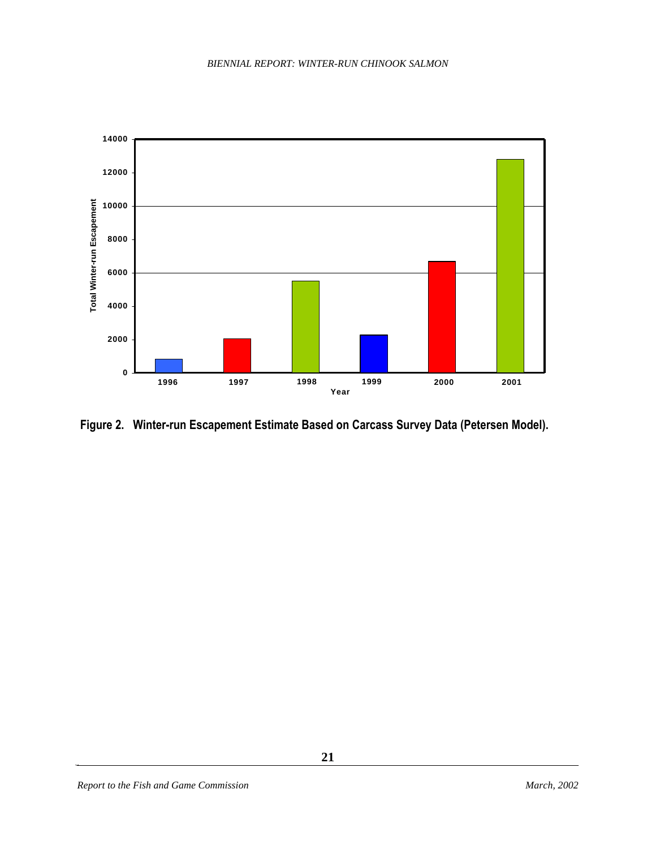

 **Figure 2. Winter-run Escapement Estimate Based on Carcass Survey Data (Petersen Model).**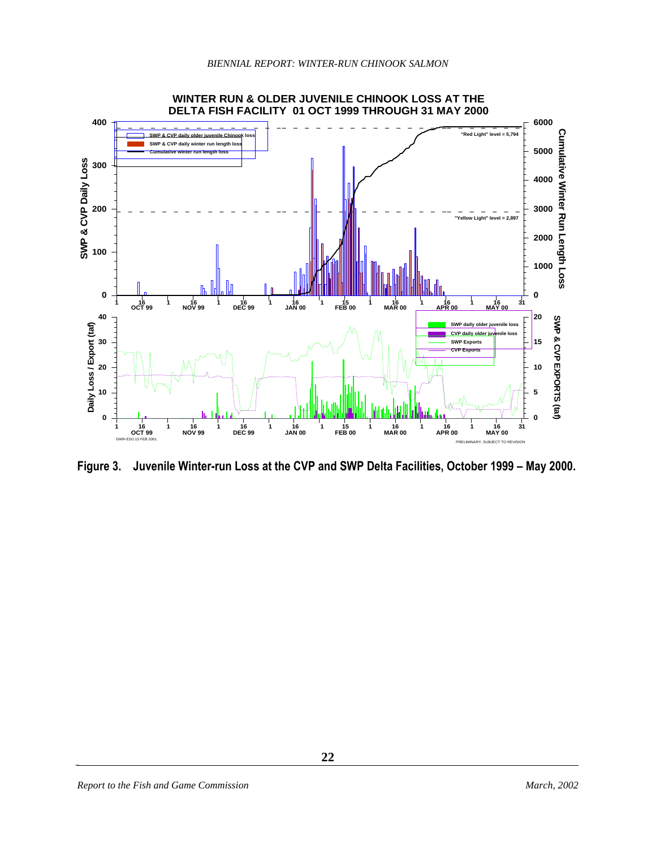

**Figure 3. Juvenile Winter-run Loss at the CVP and SWP Delta Facilities, October 1999 – May 2000.**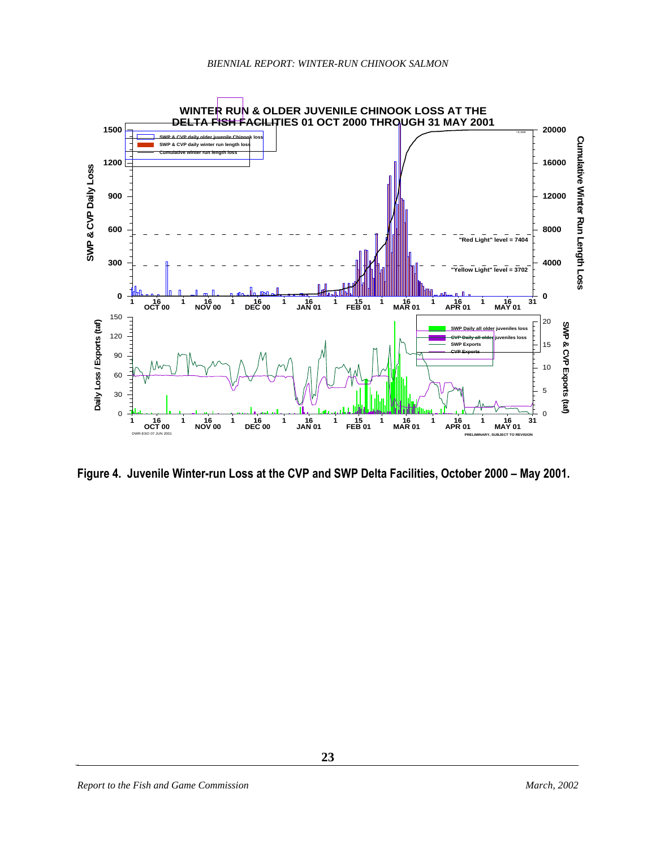

**Figure 4. Juvenile Winter-run Loss at the CVP and SWP Delta Facilities, October 2000 – May 2001.**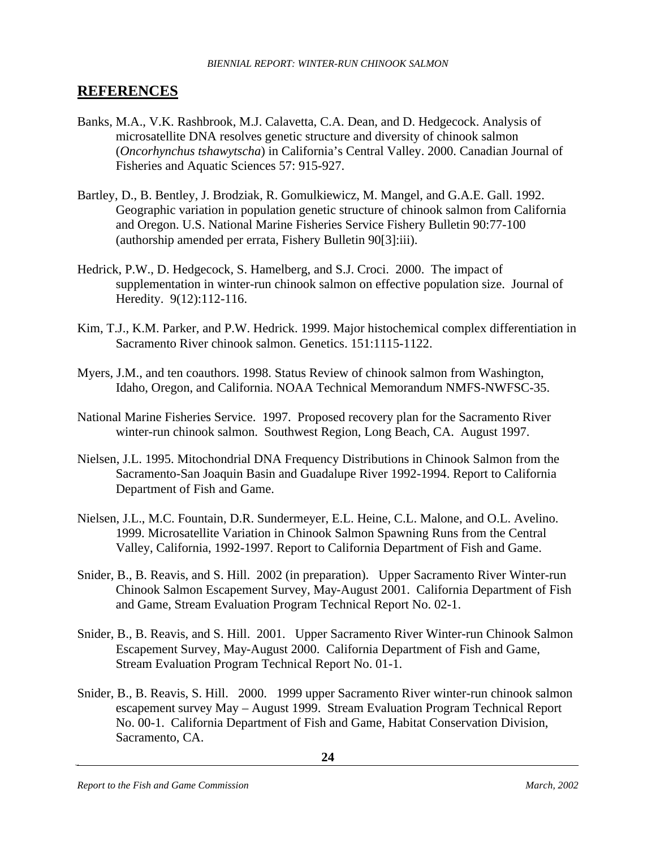#### **REFERENCES**

- Banks, M.A., V.K. Rashbrook, M.J. Calavetta, C.A. Dean, and D. Hedgecock. Analysis of microsatellite DNA resolves genetic structure and diversity of chinook salmon (*Oncorhynchus tshawytscha*) in California's Central Valley. 2000. Canadian Journal of Fisheries and Aquatic Sciences 57: 915-927.
- Bartley, D., B. Bentley, J. Brodziak, R. Gomulkiewicz, M. Mangel, and G.A.E. Gall. 1992. Geographic variation in population genetic structure of chinook salmon from California and Oregon. U.S. National Marine Fisheries Service Fishery Bulletin 90:77-100 (authorship amended per errata, Fishery Bulletin 90[3]:iii).
- Hedrick, P.W., D. Hedgecock, S. Hamelberg, and S.J. Croci. 2000. The impact of supplementation in winter-run chinook salmon on effective population size. Journal of Heredity. 9(12):112-116.
- Kim, T.J., K.M. Parker, and P.W. Hedrick. 1999. Major histochemical complex differentiation in Sacramento River chinook salmon. Genetics. 151:1115-1122.
- Myers, J.M., and ten coauthors. 1998. Status Review of chinook salmon from Washington, Idaho, Oregon, and California. NOAA Technical Memorandum NMFS-NWFSC-35.
- National Marine Fisheries Service. 1997. Proposed recovery plan for the Sacramento River winter-run chinook salmon. Southwest Region, Long Beach, CA. August 1997.
- Nielsen, J.L. 1995. Mitochondrial DNA Frequency Distributions in Chinook Salmon from the Sacramento-San Joaquin Basin and Guadalupe River 1992-1994. Report to California Department of Fish and Game.
- Nielsen, J.L., M.C. Fountain, D.R. Sundermeyer, E.L. Heine, C.L. Malone, and O.L. Avelino. 1999. Microsatellite Variation in Chinook Salmon Spawning Runs from the Central Valley, California, 1992-1997. Report to California Department of Fish and Game.
- Snider, B., B. Reavis, and S. Hill. 2002 (in preparation). Upper Sacramento River Winter-run Chinook Salmon Escapement Survey, May-August 2001. California Department of Fish and Game, Stream Evaluation Program Technical Report No. 02-1.
- Snider, B., B. Reavis, and S. Hill. 2001. Upper Sacramento River Winter-run Chinook Salmon Escapement Survey, May-August 2000. California Department of Fish and Game, Stream Evaluation Program Technical Report No. 01-1.
- Snider, B., B. Reavis, S. Hill. 2000. 1999 upper Sacramento River winter-run chinook salmon escapement survey May – August 1999. Stream Evaluation Program Technical Report No. 00-1. California Department of Fish and Game, Habitat Conservation Division, Sacramento, CA.